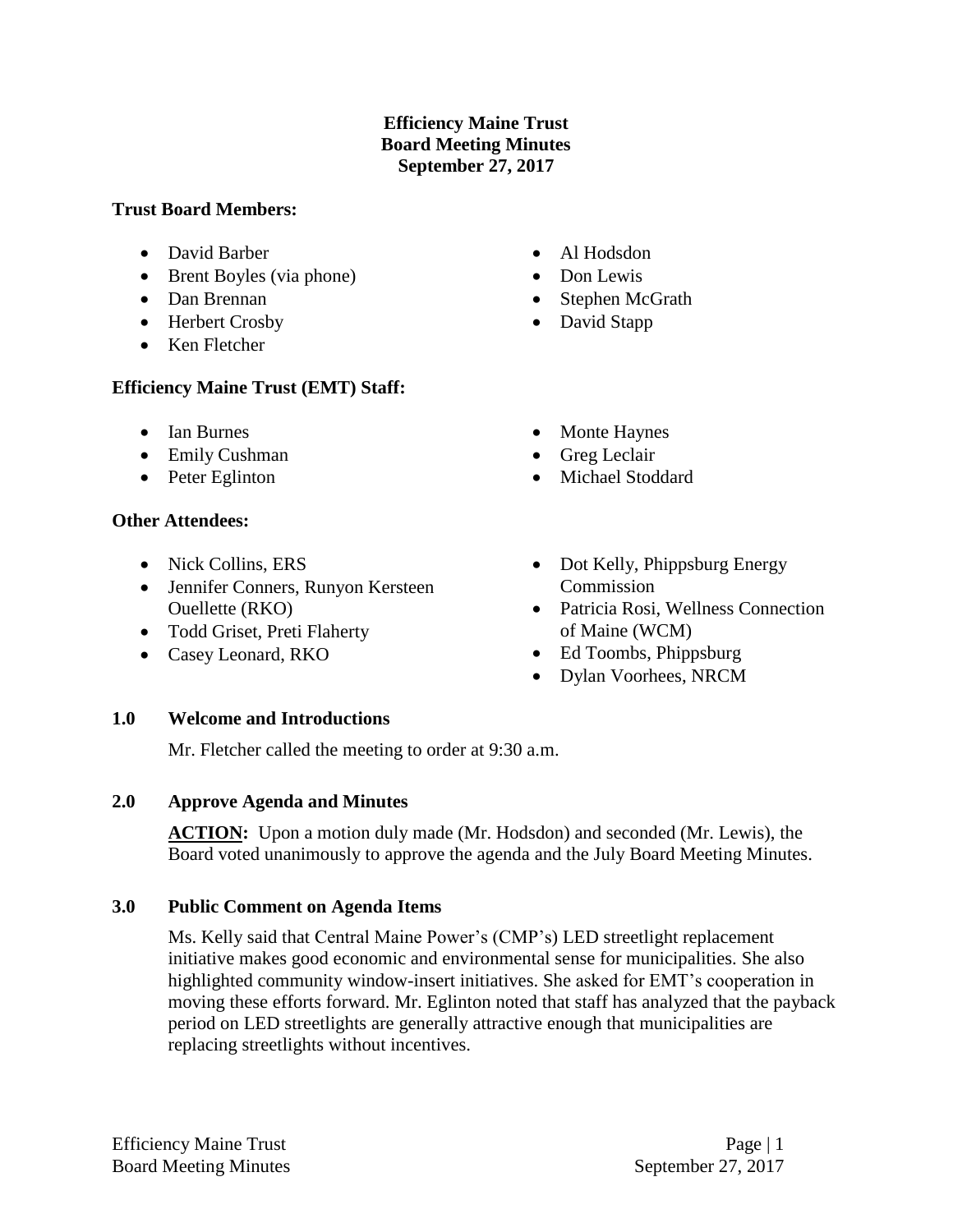## **Efficiency Maine Trust Board Meeting Minutes September 27, 2017**

## **Trust Board Members:**

- David Barber
- Brent Boyles (via phone)
- Dan Brennan
- Herbert Crosby
- Ken Fletcher

# **Efficiency Maine Trust (EMT) Staff:**

- Ian Burnes
- Emily Cushman
- Peter Eglinton

# **Other Attendees:**

- Nick Collins, ERS
- Jennifer Conners, Runyon Kersteen Ouellette (RKO)
- Todd Griset, Preti Flaherty
- Casey Leonard, RKO
- Al Hodsdon
- Don Lewis
- Stephen McGrath
- David Stapp
- Monte Haynes
- Greg Leclair
- Michael Stoddard
- Dot Kelly, Phippsburg Energy Commission
- Patricia Rosi, Wellness Connection of Maine (WCM)
- Ed Toombs, Phippsburg
- Dylan Voorhees, NRCM

## **1.0 Welcome and Introductions**

Mr. Fletcher called the meeting to order at 9:30 a.m.

# **2.0 Approve Agenda and Minutes**

**ACTION:** Upon a motion duly made (Mr. Hodsdon) and seconded (Mr. Lewis), the Board voted unanimously to approve the agenda and the July Board Meeting Minutes.

# **3.0 Public Comment on Agenda Items**

Ms. Kelly said that Central Maine Power's (CMP's) LED streetlight replacement initiative makes good economic and environmental sense for municipalities. She also highlighted community window-insert initiatives. She asked for EMT's cooperation in moving these efforts forward. Mr. Eglinton noted that staff has analyzed that the payback period on LED streetlights are generally attractive enough that municipalities are replacing streetlights without incentives.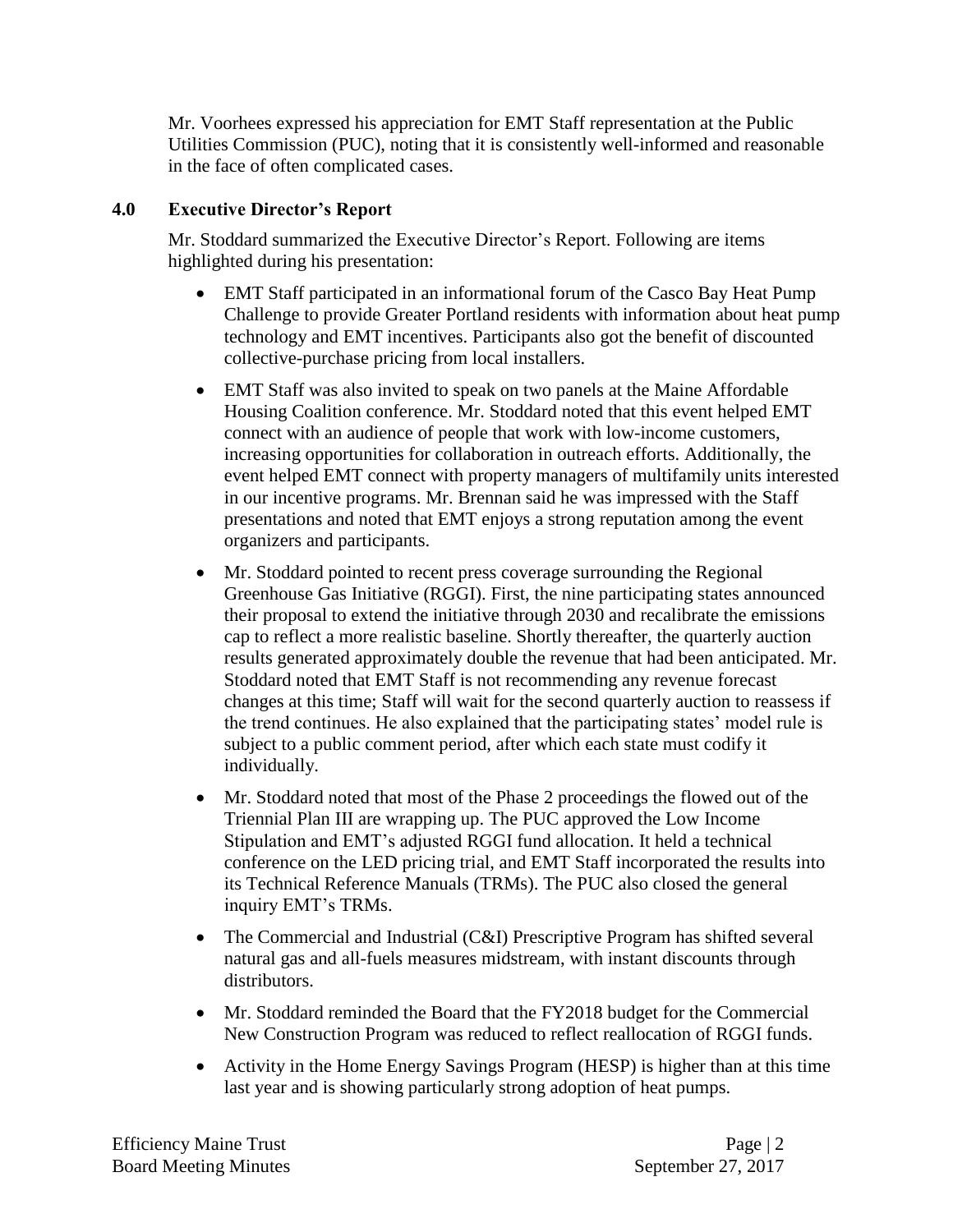Mr. Voorhees expressed his appreciation for EMT Staff representation at the Public Utilities Commission (PUC), noting that it is consistently well-informed and reasonable in the face of often complicated cases.

## **4.0 Executive Director's Report**

Mr. Stoddard summarized the Executive Director's Report. Following are items highlighted during his presentation:

- EMT Staff participated in an informational forum of the Casco Bay Heat Pump Challenge to provide Greater Portland residents with information about heat pump technology and EMT incentives. Participants also got the benefit of discounted collective-purchase pricing from local installers.
- EMT Staff was also invited to speak on two panels at the Maine Affordable Housing Coalition conference. Mr. Stoddard noted that this event helped EMT connect with an audience of people that work with low-income customers, increasing opportunities for collaboration in outreach efforts. Additionally, the event helped EMT connect with property managers of multifamily units interested in our incentive programs. Mr. Brennan said he was impressed with the Staff presentations and noted that EMT enjoys a strong reputation among the event organizers and participants.
- Mr. Stoddard pointed to recent press coverage surrounding the Regional Greenhouse Gas Initiative (RGGI). First, the nine participating states announced their proposal to extend the initiative through 2030 and recalibrate the emissions cap to reflect a more realistic baseline. Shortly thereafter, the quarterly auction results generated approximately double the revenue that had been anticipated. Mr. Stoddard noted that EMT Staff is not recommending any revenue forecast changes at this time; Staff will wait for the second quarterly auction to reassess if the trend continues. He also explained that the participating states' model rule is subject to a public comment period, after which each state must codify it individually.
- Mr. Stoddard noted that most of the Phase 2 proceedings the flowed out of the Triennial Plan III are wrapping up. The PUC approved the Low Income Stipulation and EMT's adjusted RGGI fund allocation. It held a technical conference on the LED pricing trial, and EMT Staff incorporated the results into its Technical Reference Manuals (TRMs). The PUC also closed the general inquiry EMT's TRMs.
- The Commercial and Industrial (C&I) Prescriptive Program has shifted several natural gas and all-fuels measures midstream, with instant discounts through distributors.
- Mr. Stoddard reminded the Board that the FY2018 budget for the Commercial New Construction Program was reduced to reflect reallocation of RGGI funds.
- Activity in the Home Energy Savings Program (HESP) is higher than at this time last year and is showing particularly strong adoption of heat pumps.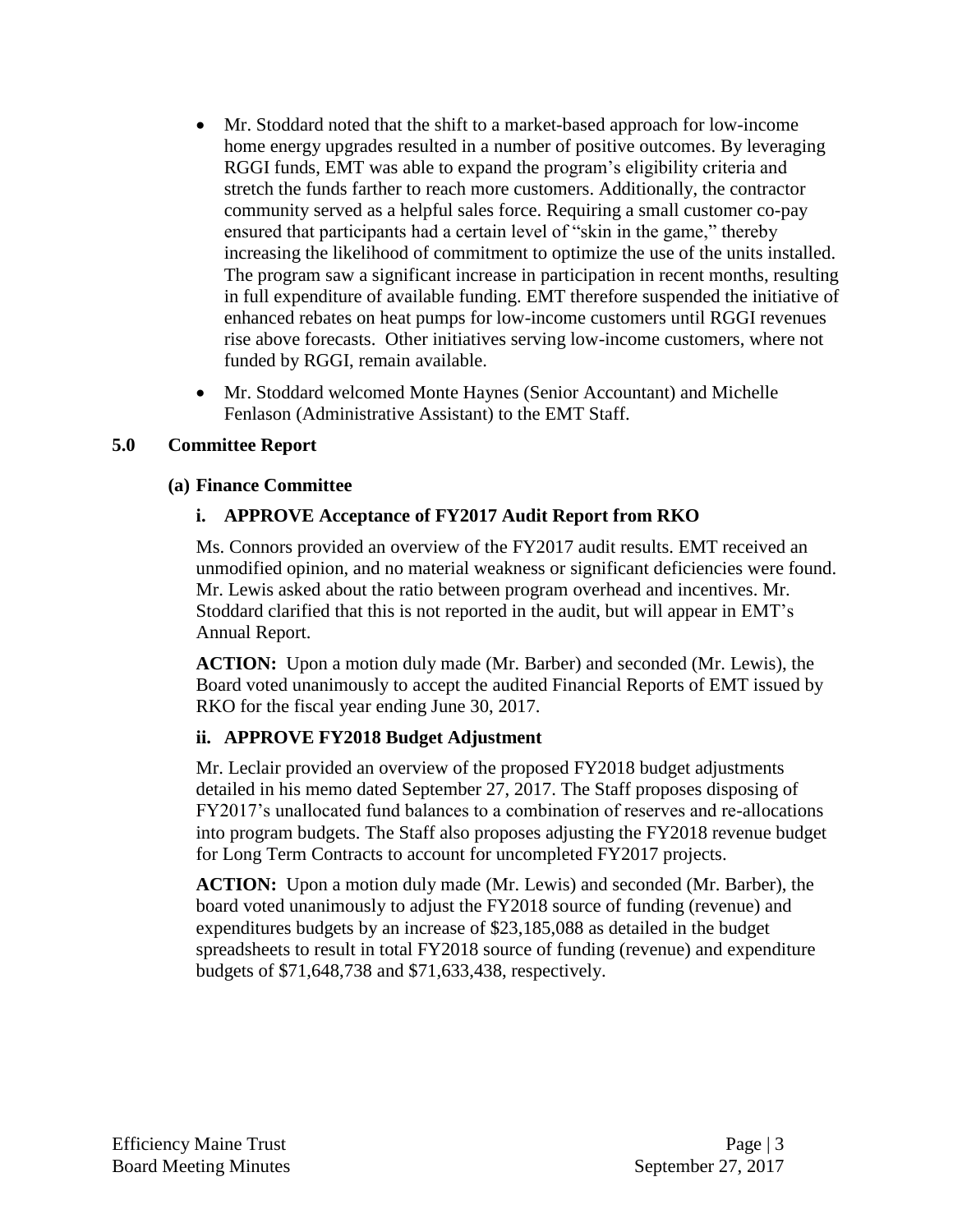- Mr. Stoddard noted that the shift to a market-based approach for low-income home energy upgrades resulted in a number of positive outcomes. By leveraging RGGI funds, EMT was able to expand the program's eligibility criteria and stretch the funds farther to reach more customers. Additionally, the contractor community served as a helpful sales force. Requiring a small customer co-pay ensured that participants had a certain level of "skin in the game," thereby increasing the likelihood of commitment to optimize the use of the units installed. The program saw a significant increase in participation in recent months, resulting in full expenditure of available funding. EMT therefore suspended the initiative of enhanced rebates on heat pumps for low-income customers until RGGI revenues rise above forecasts. Other initiatives serving low-income customers, where not funded by RGGI, remain available.
- Mr. Stoddard welcomed Monte Haynes (Senior Accountant) and Michelle Fenlason (Administrative Assistant) to the EMT Staff.

## **5.0 Committee Report**

#### **(a) Finance Committee**

## **i. APPROVE Acceptance of FY2017 Audit Report from RKO**

Ms. Connors provided an overview of the FY2017 audit results. EMT received an unmodified opinion, and no material weakness or significant deficiencies were found. Mr. Lewis asked about the ratio between program overhead and incentives. Mr. Stoddard clarified that this is not reported in the audit, but will appear in EMT's Annual Report.

**ACTION:** Upon a motion duly made (Mr. Barber) and seconded (Mr. Lewis), the Board voted unanimously to accept the audited Financial Reports of EMT issued by RKO for the fiscal year ending June 30, 2017.

## **ii. APPROVE FY2018 Budget Adjustment**

Mr. Leclair provided an overview of the proposed FY2018 budget adjustments detailed in his memo dated September 27, 2017. The Staff proposes disposing of FY2017's unallocated fund balances to a combination of reserves and re-allocations into program budgets. The Staff also proposes adjusting the FY2018 revenue budget for Long Term Contracts to account for uncompleted FY2017 projects.

**ACTION:** Upon a motion duly made (Mr. Lewis) and seconded (Mr. Barber), the board voted unanimously to adjust the FY2018 source of funding (revenue) and expenditures budgets by an increase of \$23,185,088 as detailed in the budget spreadsheets to result in total FY2018 source of funding (revenue) and expenditure budgets of \$71,648,738 and \$71,633,438, respectively.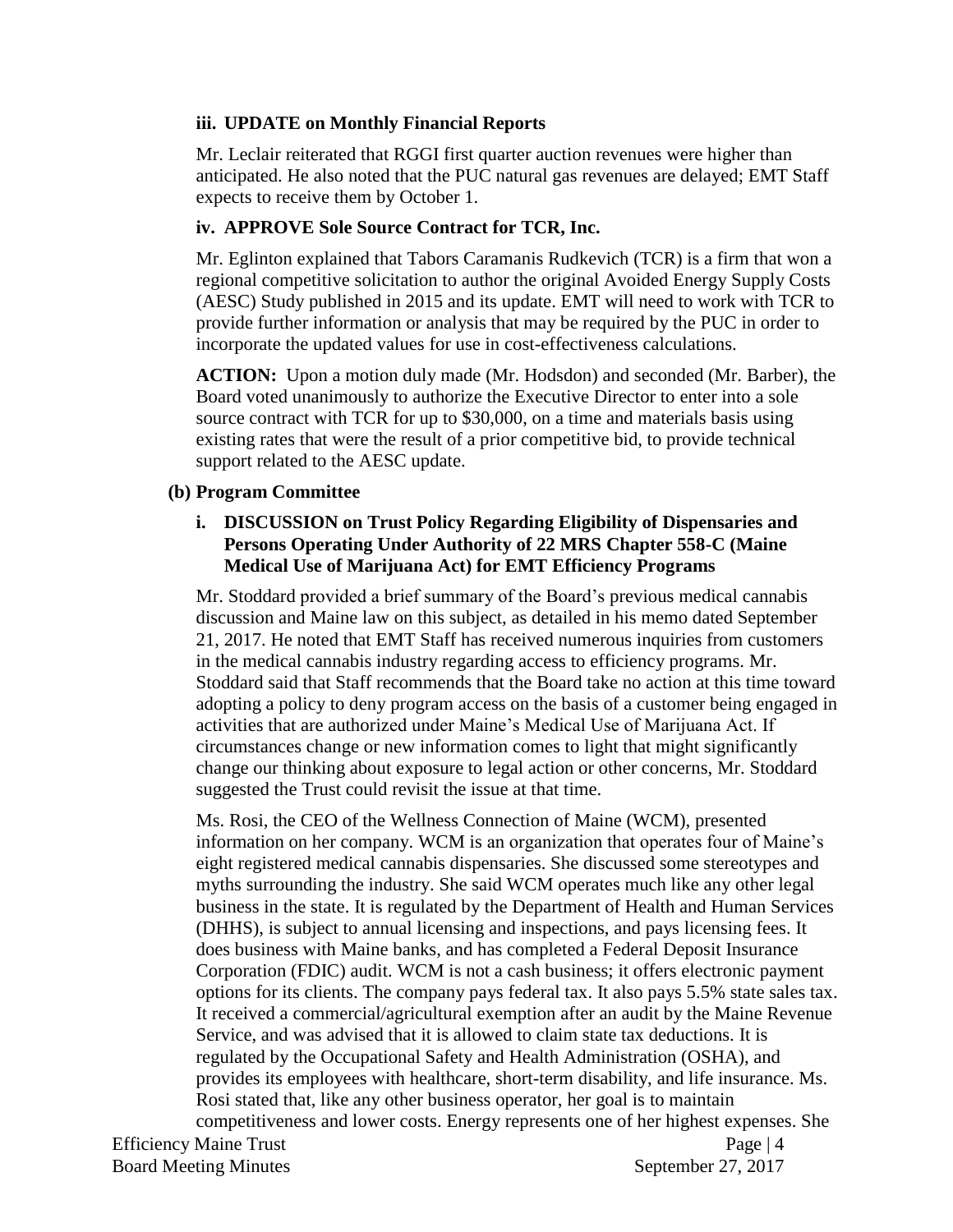## **iii. UPDATE on Monthly Financial Reports**

Mr. Leclair reiterated that RGGI first quarter auction revenues were higher than anticipated. He also noted that the PUC natural gas revenues are delayed; EMT Staff expects to receive them by October 1.

## **iv. APPROVE Sole Source Contract for TCR, Inc.**

Mr. Eglinton explained that Tabors Caramanis Rudkevich (TCR) is a firm that won a regional competitive solicitation to author the original Avoided Energy Supply Costs (AESC) Study published in 2015 and its update. EMT will need to work with TCR to provide further information or analysis that may be required by the PUC in order to incorporate the updated values for use in cost-effectiveness calculations.

**ACTION:** Upon a motion duly made (Mr. Hodsdon) and seconded (Mr. Barber), the Board voted unanimously to authorize the Executive Director to enter into a sole source contract with TCR for up to \$30,000, on a time and materials basis using existing rates that were the result of a prior competitive bid, to provide technical support related to the AESC update.

## **(b) Program Committee**

## **i. DISCUSSION on Trust Policy Regarding Eligibility of Dispensaries and Persons Operating Under Authority of 22 MRS Chapter 558-C (Maine Medical Use of Marijuana Act) for EMT Efficiency Programs**

Mr. Stoddard provided a brief summary of the Board's previous medical cannabis discussion and Maine law on this subject, as detailed in his memo dated September 21, 2017. He noted that EMT Staff has received numerous inquiries from customers in the medical cannabis industry regarding access to efficiency programs. Mr. Stoddard said that Staff recommends that the Board take no action at this time toward adopting a policy to deny program access on the basis of a customer being engaged in activities that are authorized under Maine's Medical Use of Marijuana Act. If circumstances change or new information comes to light that might significantly change our thinking about exposure to legal action or other concerns, Mr. Stoddard suggested the Trust could revisit the issue at that time.

Efficiency Maine Trust Page | 4 Ms. Rosi, the CEO of the Wellness Connection of Maine (WCM), presented information on her company. WCM is an organization that operates four of Maine's eight registered medical cannabis dispensaries. She discussed some stereotypes and myths surrounding the industry. She said WCM operates much like any other legal business in the state. It is regulated by the Department of Health and Human Services (DHHS), is subject to annual licensing and inspections, and pays licensing fees. It does business with Maine banks, and has completed a Federal Deposit Insurance Corporation (FDIC) audit. WCM is not a cash business; it offers electronic payment options for its clients. The company pays federal tax. It also pays 5.5% state sales tax. It received a commercial/agricultural exemption after an audit by the Maine Revenue Service, and was advised that it is allowed to claim state tax deductions. It is regulated by the Occupational Safety and Health Administration (OSHA), and provides its employees with healthcare, short-term disability, and life insurance. Ms. Rosi stated that, like any other business operator, her goal is to maintain competitiveness and lower costs. Energy represents one of her highest expenses. She

Board Meeting Minutes September 27, 2017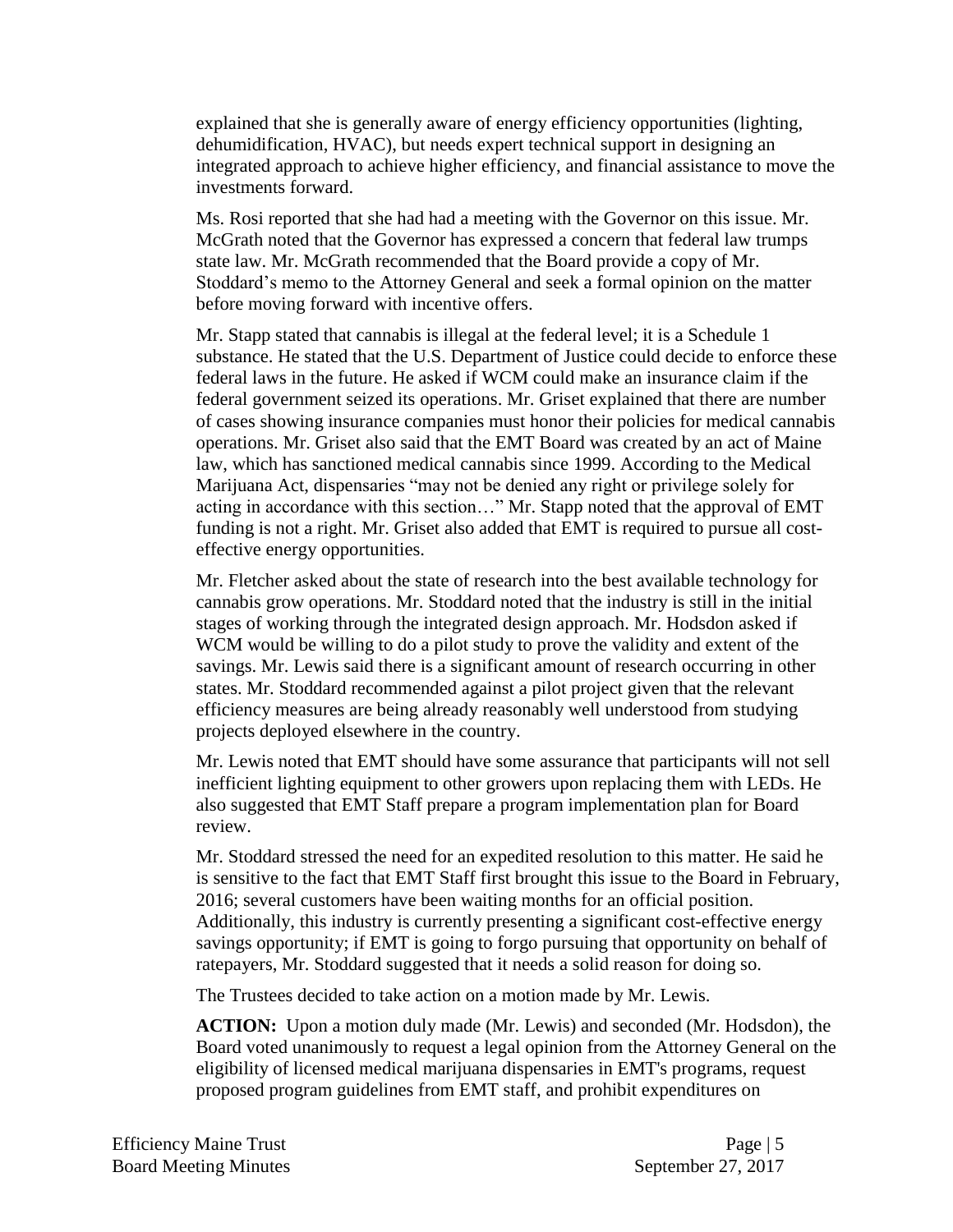explained that she is generally aware of energy efficiency opportunities (lighting, dehumidification, HVAC), but needs expert technical support in designing an integrated approach to achieve higher efficiency, and financial assistance to move the investments forward.

Ms. Rosi reported that she had had a meeting with the Governor on this issue. Mr. McGrath noted that the Governor has expressed a concern that federal law trumps state law. Mr. McGrath recommended that the Board provide a copy of Mr. Stoddard's memo to the Attorney General and seek a formal opinion on the matter before moving forward with incentive offers.

Mr. Stapp stated that cannabis is illegal at the federal level; it is a Schedule 1 substance. He stated that the U.S. Department of Justice could decide to enforce these federal laws in the future. He asked if WCM could make an insurance claim if the federal government seized its operations. Mr. Griset explained that there are number of cases showing insurance companies must honor their policies for medical cannabis operations. Mr. Griset also said that the EMT Board was created by an act of Maine law, which has sanctioned medical cannabis since 1999. According to the Medical Marijuana Act, dispensaries "may not be denied any right or privilege solely for acting in accordance with this section…" Mr. Stapp noted that the approval of EMT funding is not a right. Mr. Griset also added that EMT is required to pursue all costeffective energy opportunities.

Mr. Fletcher asked about the state of research into the best available technology for cannabis grow operations. Mr. Stoddard noted that the industry is still in the initial stages of working through the integrated design approach. Mr. Hodsdon asked if WCM would be willing to do a pilot study to prove the validity and extent of the savings. Mr. Lewis said there is a significant amount of research occurring in other states. Mr. Stoddard recommended against a pilot project given that the relevant efficiency measures are being already reasonably well understood from studying projects deployed elsewhere in the country.

Mr. Lewis noted that EMT should have some assurance that participants will not sell inefficient lighting equipment to other growers upon replacing them with LEDs. He also suggested that EMT Staff prepare a program implementation plan for Board review.

Mr. Stoddard stressed the need for an expedited resolution to this matter. He said he is sensitive to the fact that EMT Staff first brought this issue to the Board in February, 2016; several customers have been waiting months for an official position. Additionally, this industry is currently presenting a significant cost-effective energy savings opportunity; if EMT is going to forgo pursuing that opportunity on behalf of ratepayers, Mr. Stoddard suggested that it needs a solid reason for doing so.

The Trustees decided to take action on a motion made by Mr. Lewis.

**ACTION:** Upon a motion duly made (Mr. Lewis) and seconded (Mr. Hodsdon), the Board voted unanimously to request a legal opinion from the Attorney General on the eligibility of licensed medical marijuana dispensaries in EMT's programs, request proposed program guidelines from EMT staff, and prohibit expenditures on